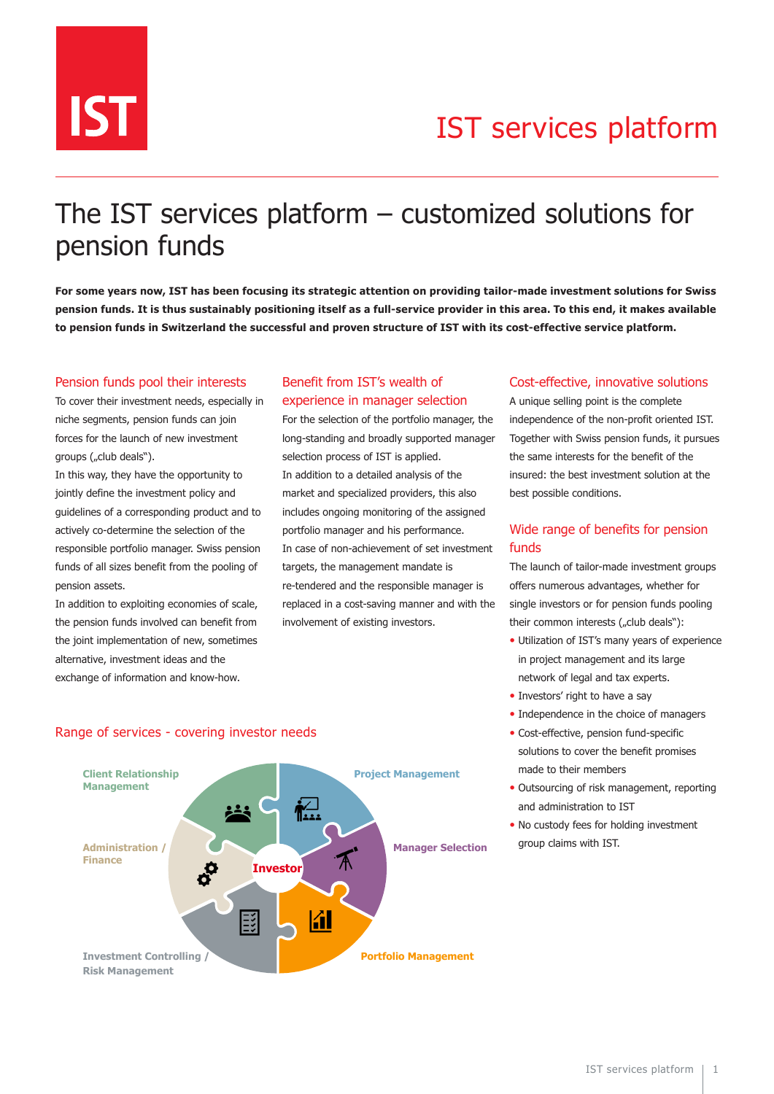

# IST services platform

## The IST services platform – customized solutions for pension funds

**For some years now, IST has been focusing its strategic attention on providing tailor-made investment solutions for Swiss pension funds. It is thus sustainably positioning itself as a full-service provider in this area. To this end, it makes available to pension funds in Switzerland the successful and proven structure of IST with its cost-effective service platform.**

#### Pension funds pool their interests

To cover their investment needs, especially in niche segments, pension funds can join forces for the launch of new investment groups ("club deals").

In this way, they have the opportunity to jointly define the investment policy and guidelines of a corresponding product and to actively co-determine the selection of the responsible portfolio manager. Swiss pension funds of all sizes benefit from the pooling of pension assets.

In addition to exploiting economies of scale, the pension funds involved can benefit from the joint implementation of new, sometimes alternative, investment ideas and the exchange of information and know-how.

### Benefit from IST's wealth of experience in manager selection

For the selection of the portfolio manager, the long-standing and broadly supported manager selection process of IST is applied. In addition to a detailed analysis of the market and specialized providers, this also includes ongoing monitoring of the assigned portfolio manager and his performance. In case of non-achievement of set investment targets, the management mandate is re-tendered and the responsible manager is replaced in a cost-saving manner and with the involvement of existing investors.

#### Cost-effective, innovative solutions

A unique selling point is the complete independence of the non-profit oriented IST. Together with Swiss pension funds, it pursues the same interests for the benefit of the insured: the best investment solution at the best possible conditions.

### Wide range of benefits for pension funds

The launch of tailor-made investment groups offers numerous advantages, whether for single investors or for pension funds pooling their common interests ("club deals"):

- Utilization of IST's many years of experience in project management and its large network of legal and tax experts.
- Investors' right to have a say
- Independence in the choice of managers Dienstleistungspalette
- Cost-effective, pension fund-specific solutions to cover the benefit promises made to their members Abdeckung der Anlegerbedürfnisse
	- Outsourcing of risk management, reporting and administration to IST
	- No custody fees for holding investment group claims with IST.